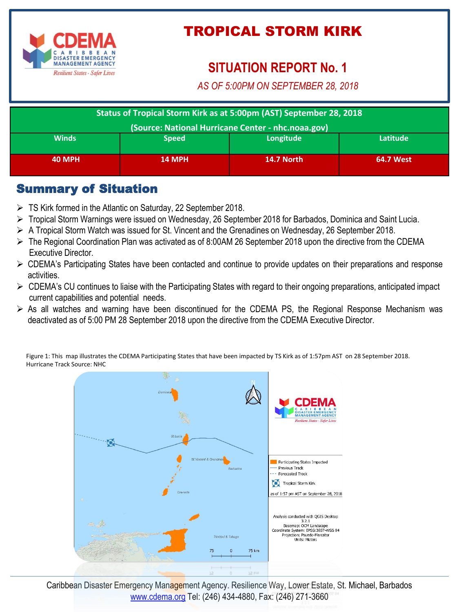

# TROPICAL STORM KIRK

# **SITUATION REPORT No. 1**

*AS OF 5:00PM ON SEPTEMBER 28, 2018*

| Status of Tropical Storm Kirk as at 5:00pm (AST) September 28, 2018 |               |                   |                  |
|---------------------------------------------------------------------|---------------|-------------------|------------------|
| (Source: National Hurricane Center - nhc.noaa.gov)                  |               |                   |                  |
| <b>Winds</b>                                                        | <b>Speed</b>  | Longitude         | Latitude         |
| <b>40 MPH</b>                                                       | <b>14 MPH</b> | <b>14.7 North</b> | <b>64.7 West</b> |

### Summary of Situation

- ➢ TS Kirk formed in the Atlantic on Saturday, 22 September 2018.
- ➢ Tropical Storm Warnings were issued on Wednesday, 26 September 2018 for Barbados, Dominica and Saint Lucia.
- ➢ A Tropical Storm Watch was issued for St. Vincent and the Grenadines on Wednesday, 26 September 2018.
- ➢ The Regional Coordination Plan was activated as of 8:00AM 26 September 2018 upon the directive from the CDEMA Executive Director.
- ➢ CDEMA's Participating States have been contacted and continue to provide updates on their preparations and response activities.
- ➢ CDEMA's CU continues to liaise with the Participating States with regard to their ongoing preparations, anticipated impact current capabilities and potential needs.
- $\triangleright$  As all watches and warning have been discontinued for the CDEMA PS, the Regional Response Mechanism was deactivated as of 5:00 PM 28 September 2018 upon the directive from the CDEMA Executive Director.

Figure 1: This map illustrates the CDEMA Participating States that have been impacted by TS Kirk as of 1:57pm AST on 28 September 2018. Hurricane Track Source: NHC



Caribbean Disaster Emergency Management Agency. Resilience Way, Lower Estate, St. Michael, Barbados [www.cdema.org](http://www.cdema.org/) Tel: (246) 434-4880, Fax: (246) 271-3660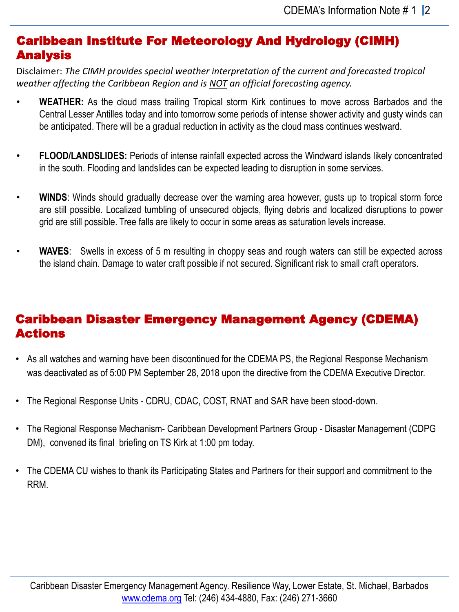### Caribbean Institute For Meteorology And Hydrology (CIMH) Analysis

Disclaimer: *The CIMH provides special weather interpretation of the current and forecasted tropical weather affecting the Caribbean Region and is NOT an official forecasting agency.*

- **WEATHER:** As the cloud mass trailing Tropical storm Kirk continues to move across Barbados and the Central Lesser Antilles today and into tomorrow some periods of intense shower activity and gusty winds can be anticipated. There will be a gradual reduction in activity as the cloud mass continues westward.
- **FLOOD/LANDSLIDES:** Periods of intense rainfall expected across the Windward islands likely concentrated in the south. Flooding and landslides can be expected leading to disruption in some services.
- **WINDS**: Winds should gradually decrease over the warning area however, gusts up to tropical storm force are still possible. Localized tumbling of unsecured objects, flying debris and localized disruptions to power grid are still possible. Tree falls are likely to occur in some areas as saturation levels increase.
- **WAVES**: Swells in excess of 5 m resulting in choppy seas and rough waters can still be expected across the island chain. Damage to water craft possible if not secured. Significant risk to small craft operators.

### Caribbean Disaster Emergency Management Agency (CDEMA) Actions

- As all watches and warning have been discontinued for the CDEMA PS, the Regional Response Mechanism was deactivated as of 5:00 PM September 28, 2018 upon the directive from the CDEMA Executive Director.
- The Regional Response Units CDRU, CDAC, COST, RNAT and SAR have been stood-down.
- The Regional Response Mechanism- Caribbean Development Partners Group Disaster Management (CDPG DM), convened its final briefing on TS Kirk at 1:00 pm today.
- The CDEMA CU wishes to thank its Participating States and Partners for their support and commitment to the RRM.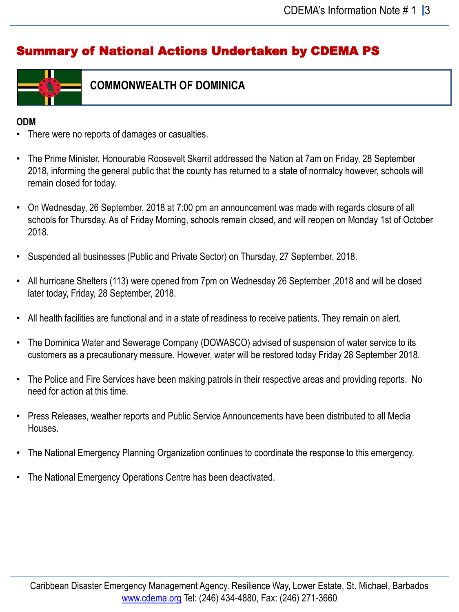## Summary of National Actions Undertaken by CDEMA PS



**COMMONWEALTH OF DOMINICA**

#### **ODM**

- There were no reports of damages or casualties.
- The Prime Minister, Honourable Roosevelt Skerrit addressed the Nation at 7am on Friday, 28 September 2018, informing the general public that the county has returned to a state of normalcy however, schools will remain closed for today.
- On Wednesday, 26 September, 2018 at 7:00 pm an announcement was made with regards closure of all schools for Thursday. As of Friday Morning, schools remain closed, and will reopen on Monday 1st of October 2018.
- Suspended all businesses (Public and Private Sector) on Thursday, 27 September, 2018.
- All hurricane Shelters (113) were opened from 7pm on Wednesday 26 September ,2018 and will be closed later today, Friday, 28 September, 2018.
- All health facilities are functional and in a state of readiness to receive patients. They remain on alert.
- The Dominica Water and Sewerage Company (DOWASCO) advised of suspension of water service to its customers as a precautionary measure. However, water will be restored today Friday 28 September 2018.
- The Police and Fire Services have been making patrols in their respective areas and providing reports. No need for action at this time.
- Press Releases, weather reports and Public Service Announcements have been distributed to all Media Houses.
- The National Emergency Planning Organization continues to coordinate the response to this emergency.
- The National Emergency Operations Centre has been deactivated.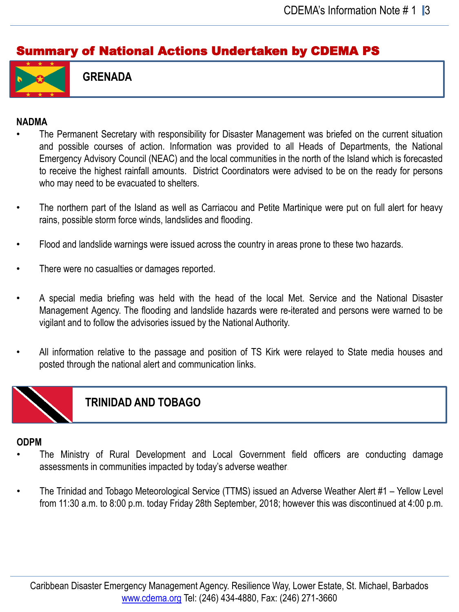## Summary of National Actions Undertaken by CDEMA PS



**GRENADA**

#### **NADMA**

- The Permanent Secretary with responsibility for Disaster Management was briefed on the current situation and possible courses of action. Information was provided to all Heads of Departments, the National Emergency Advisory Council (NEAC) and the local communities in the north of the Island which is forecasted to receive the highest rainfall amounts. District Coordinators were advised to be on the ready for persons who may need to be evacuated to shelters.
- The northern part of the Island as well as Carriacou and Petite Martinique were put on full alert for heavy rains, possible storm force winds, landslides and flooding.
- Flood and landslide warnings were issued across the country in areas prone to these two hazards.
- There were no casualties or damages reported.
- A special media briefing was held with the head of the local Met. Service and the National Disaster Management Agency. The flooding and landslide hazards were re-iterated and persons were warned to be vigilant and to follow the advisories issued by the National Authority.
- All information relative to the passage and position of TS Kirk were relayed to State media houses and posted through the national alert and communication links.



**TRINIDAD AND TOBAGO**

#### **ODPM**

- The Ministry of Rural Development and Local Government field officers are conducting damage assessments in communities impacted by today's adverse weather.
- The Trinidad and Tobago Meteorological Service (TTMS) issued an Adverse Weather Alert #1 Yellow Level from 11:30 a.m. to 8:00 p.m. today Friday 28th September, 2018; however this was discontinued at 4:00 p.m.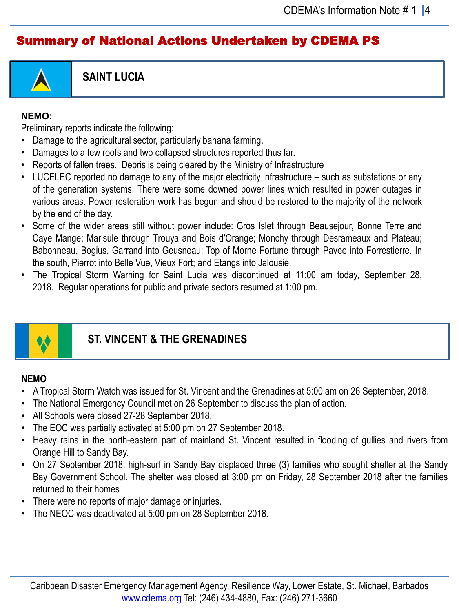## Summary of National Actions Undertaken by CDEMA PS



### **SAINT LUCIA**

#### **NEMO:**

Preliminary reports indicate the following:

- Damage to the agricultural sector, particularly banana farming.
- Damages to a few roofs and two collapsed structures reported thus far.
- Reports of fallen trees. Debris is being cleared by the Ministry of Infrastructure
- LUCELEC reported no damage to any of the major electricity infrastructure such as substations or any of the generation systems. There were some downed power lines which resulted in power outages in various areas. Power restoration work has begun and should be restored to the majority of the network by the end of the day.
- Some of the wider areas still without power include: Gros Islet through Beausejour, Bonne Terre and Caye Mange; Marisule through Trouya and Bois d'Orange; Monchy through Desrameaux and Plateau; Babonneau, Bogius, Garrand into Geusneau; Top of Morne Fortune through Pavee into Forrestierre. In the south, Pierrot into Belle Vue, Vieux Fort; and Etangs into Jalousie.
- The Tropical Storm Warning for Saint Lucia was discontinued at 11:00 am today, September 28, 2018. Regular operations for public and private sectors resumed at 1:00 pm.



### **ST. VINCENT & THE GRENADINES**

#### **NEMO**

- A Tropical Storm Watch was issued for St. Vincent and the Grenadines at 5:00 am on 26 September, 2018.
- The National Emergency Council met on 26 September to discuss the plan of action.
- All Schools were closed 27-28 September 2018.
- The EOC was partially activated at 5:00 pm on 27 September 2018.
- Heavy rains in the north-eastern part of mainland St. Vincent resulted in flooding of gullies and rivers from Orange Hill to Sandy Bay.
- On 27 September 2018, high-surf in Sandy Bay displaced three (3) families who sought shelter at the Sandy Bay Government School. The shelter was closed at 3:00 pm on Friday, 28 September 2018 after the families returned to their homes
- There were no reports of major damage or injuries.
- The NEOC was deactivated at 5:00 pm on 28 September 2018.